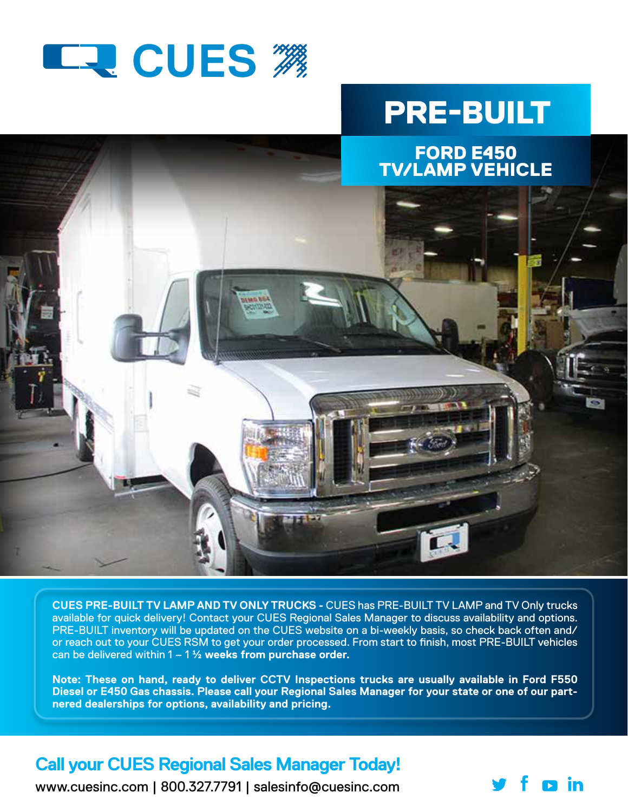

## PRE-BUILT



**CUES PRE-BUILT TV LAMP AND TV ONLY TRUCKS -** CUES has PRE-BUILT TV LAMP and TV Only trucks available for quick delivery! Contact your CUES Regional Sales Manager to discuss availability and options. PRE-BUILT inventory will be updated on the CUES website on a bi-weekly basis, so check back often and/ or reach out to your CUES RSM to get your order processed. From start to finish, most PRE-BUILT vehicles can be delivered within 1 – 1 ½ **weeks from purchase order.** 

**Note: These on hand, ready to deliver CCTV Inspections trucks are usually available in Ford F550 Diesel or E450 Gas chassis. Please call your Regional Sales Manager for your state or one of our partnered dealerships for options, availability and pricing.** 

## **Call your CUES Regional Sales Manager Today!**

www.cuesinc.com | 800.327.7791 | salesinfo@cuesinc.com